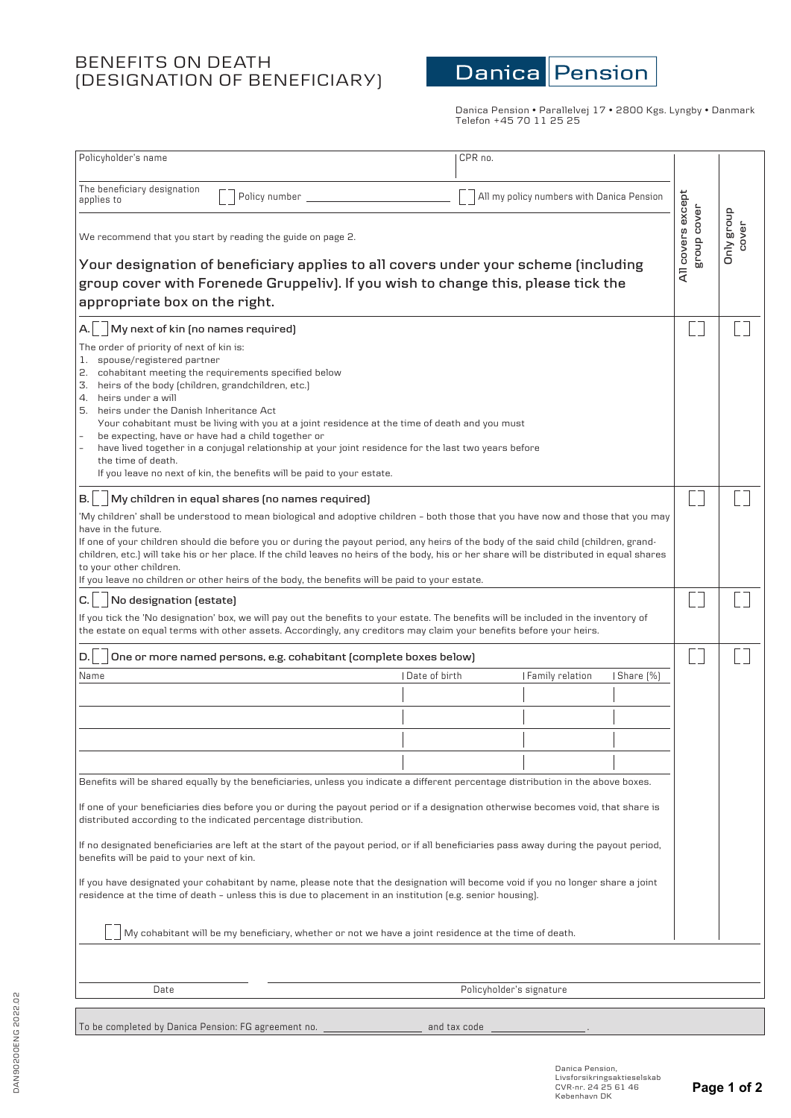# BENEFITS ON DEATH (DESIGNATION OF BENEFICIARY)



Danica Pension • Parallelvej 17 • 2800 Kgs. Lyngby • Danmark Telefon +45 70 11 25 25

| Policyholder's name                                                                                                                                                                                                                                                                                                                                                                                                                                                                                                                                                                                                                                                                                                                                 |                                                                                              | CPR no.      |                                           |           |                                  |                            |
|-----------------------------------------------------------------------------------------------------------------------------------------------------------------------------------------------------------------------------------------------------------------------------------------------------------------------------------------------------------------------------------------------------------------------------------------------------------------------------------------------------------------------------------------------------------------------------------------------------------------------------------------------------------------------------------------------------------------------------------------------------|----------------------------------------------------------------------------------------------|--------------|-------------------------------------------|-----------|----------------------------------|----------------------------|
| The beneficiary designation<br>applies to                                                                                                                                                                                                                                                                                                                                                                                                                                                                                                                                                                                                                                                                                                           | Policy number                                                                                |              | All my policy numbers with Danica Pension |           |                                  |                            |
| We recommend that you start by reading the guide on page 2.<br>Your designation of beneficiary applies to all covers under your scheme (including<br>group cover with Forenede Gruppeliv). If you wish to change this, please tick the<br>appropriate box on the right.                                                                                                                                                                                                                                                                                                                                                                                                                                                                             |                                                                                              |              |                                           |           | All covers except<br>group cover | <b>Dnly</b> group<br>cover |
| My next of kin (no names required)                                                                                                                                                                                                                                                                                                                                                                                                                                                                                                                                                                                                                                                                                                                  |                                                                                              |              |                                           |           |                                  |                            |
| The order of priority of next of kin is:<br>spouse/registered partner<br>1.<br>2. cohabitant meeting the requirements specified below<br>3. heirs of the body (children, grandchildren, etc.)<br>4. heirs under a will<br>5. heirs under the Danish Inheritance Act<br>Your cohabitant must be living with you at a joint residence at the time of death and you must<br>be expecting, have or have had a child together or<br>have lived together in a conjugal relationship at your joint residence for the last two years before<br>the time of death.<br>If you leave no next of kin, the benefits will be paid to your estate.                                                                                                                 |                                                                                              |              |                                           |           |                                  |                            |
| $\sqrt{a}$ My children in equal shares (no names required)<br>B.I                                                                                                                                                                                                                                                                                                                                                                                                                                                                                                                                                                                                                                                                                   |                                                                                              |              |                                           |           |                                  |                            |
| 'My children' shall be understood to mean biological and adoptive children - both those that you have now and those that you may<br>have in the future.<br>If one of your children should die before you or during the payout period, any heirs of the body of the said child (children, grand-<br>children, etc.) will take his or her place. If the child leaves no heirs of the body, his or her share will be distributed in equal shares<br>to your other children.<br>If you leave no children or other heirs of the body, the benefits will be paid to your estate.<br>No designation (estate)<br>С.<br>If you tick the 'No designation' box, we will pay out the benefits to your estate. The benefits will be included in the inventory of |                                                                                              |              |                                           |           |                                  |                            |
| the estate on equal terms with other assets. Accordingly, any creditors may claim your benefits before your heirs.                                                                                                                                                                                                                                                                                                                                                                                                                                                                                                                                                                                                                                  |                                                                                              |              |                                           |           |                                  |                            |
| D.                                                                                                                                                                                                                                                                                                                                                                                                                                                                                                                                                                                                                                                                                                                                                  | One or more named persons, e.g. cohabitant (complete boxes below)<br>I Date of birth<br>Name |              |                                           |           |                                  |                            |
|                                                                                                                                                                                                                                                                                                                                                                                                                                                                                                                                                                                                                                                                                                                                                     |                                                                                              |              | Family relation                           | Share [%] |                                  |                            |
|                                                                                                                                                                                                                                                                                                                                                                                                                                                                                                                                                                                                                                                                                                                                                     |                                                                                              |              |                                           |           |                                  |                            |
|                                                                                                                                                                                                                                                                                                                                                                                                                                                                                                                                                                                                                                                                                                                                                     |                                                                                              |              |                                           |           |                                  |                            |
|                                                                                                                                                                                                                                                                                                                                                                                                                                                                                                                                                                                                                                                                                                                                                     |                                                                                              |              |                                           |           |                                  |                            |
|                                                                                                                                                                                                                                                                                                                                                                                                                                                                                                                                                                                                                                                                                                                                                     |                                                                                              |              |                                           |           |                                  |                            |
| Benefits will be shared equally by the beneficiaries, unless you indicate a different percentage distribution in the above boxes.<br>If one of your beneficiaries dies before you or during the payout period or if a designation otherwise becomes void, that share is<br>distributed according to the indicated percentage distribution.<br>If no designated beneficiaries are left at the start of the payout period, or if all beneficiaries pass away during the payout period,<br>benefits will be paid to your next of kin.<br>If you have designated your cohabitant by name, please note that the designation will become void if you no longer share a joint                                                                              |                                                                                              |              |                                           |           |                                  |                            |
| residence at the time of death - unless this is due to placement in an institution (e.g. senior housing).<br>My cohabitant will be my beneficiary, whether or not we have a joint residence at the time of death.                                                                                                                                                                                                                                                                                                                                                                                                                                                                                                                                   |                                                                                              |              |                                           |           |                                  |                            |
|                                                                                                                                                                                                                                                                                                                                                                                                                                                                                                                                                                                                                                                                                                                                                     |                                                                                              |              |                                           |           |                                  |                            |
| Policyholder's signature<br>Date                                                                                                                                                                                                                                                                                                                                                                                                                                                                                                                                                                                                                                                                                                                    |                                                                                              |              |                                           |           |                                  |                            |
|                                                                                                                                                                                                                                                                                                                                                                                                                                                                                                                                                                                                                                                                                                                                                     |                                                                                              |              |                                           |           |                                  |                            |
| To be completed by Danica Pension: FG agreement no.                                                                                                                                                                                                                                                                                                                                                                                                                                                                                                                                                                                                                                                                                                 |                                                                                              | and tax code |                                           |           |                                  |                            |